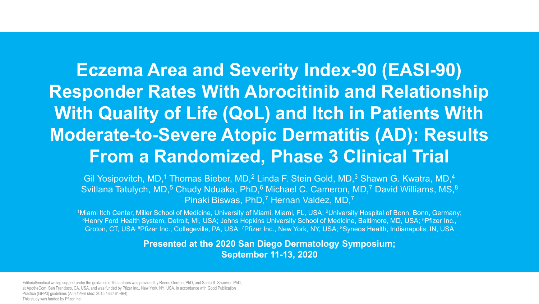# **Eczema Area and Severity Index-90 (EASI-90) Responder Rates With Abrocitinib and Relationship With Quality of Life (QoL) and Itch in Patients With Moderate-to-Severe Atopic Dermatitis (AD): Results From a Randomized, Phase 3 Clinical Trial**

Gil Yosipovitch, MD,<sup>1</sup> Thomas Bieber, MD,<sup>2</sup> Linda F. Stein Gold, MD,<sup>3</sup> Shawn G. Kwatra, MD,<sup>4</sup> Svitlana Tatulych, MD,<sup>5</sup> Chudy Nduaka, PhD,<sup>6</sup> Michael C. Cameron, MD,<sup>7</sup> David Williams, MS,<sup>8</sup> Pinaki Biswas, PhD,<sup>7</sup> Hernan Valdez, MD,<sup>7</sup>

1Miami Itch Center, Miller School of Medicine, University of Miami, Miami, FL, USA; <sup>2</sup>University Hospital of Bonn, Bonn, Germany; <sup>3</sup>Henry Ford Health System, Detroit, MI, USA; Johns Hopkins University School of Medicine, Baltimore, MD, USA; <sup>5</sup>Pfizer Inc., Groton, CT, USA; 6Pfizer Inc., Collegeville, PA, USA; 7Pfizer Inc., New York, NY, USA; 8Syneos Health, Indianapolis, IN, USA

> **Presented at the 2020 San Diego Dermatology Symposium; September 11-13, 2020**

Editorial/medical writing support under the guidance of the authors was provided by Renee Gordon, PhD, and Sarita S. Shaevitz, PhD, at ApotheCom, San Francisco, CA, USA, and was funded by Pfizer Inc., New York, NY, USA, in accordance with Good Publication Practice (GPP3) guidelines (*Ann Intern Med*. 2015;163:461-464). This study was funded by Pfizer Inc.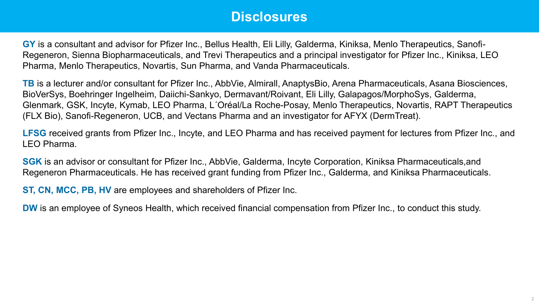## **Disclosures**

**GY** is a consultant and advisor for Pfizer Inc., Bellus Health, Eli Lilly, Galderma, Kiniksa, Menlo Therapeutics, Sanofi-Regeneron, Sienna Biopharmaceuticals, and Trevi Therapeutics and a principal investigator for Pfizer Inc., Kiniksa, LEO Pharma, Menlo Therapeutics, Novartis, Sun Pharma, and Vanda Pharmaceuticals.

**TB** is a lecturer and/or consultant for Pfizer Inc., AbbVie, Almirall, AnaptysBio, Arena Pharmaceuticals, Asana Biosciences, BioVerSys, Boehringer Ingelheim, Daiichi-Sankyo, Dermavant/Roivant, Eli Lilly, Galapagos/MorphoSys, Galderma, Glenmark, GSK, Incyte, Kymab, LEO Pharma, L´Oréal/La Roche-Posay, Menlo Therapeutics, Novartis, RAPT Therapeutics (FLX Bio), Sanofi-Regeneron, UCB, and Vectans Pharma and an investigator for AFYX (DermTreat).

**LFSG** received grants from Pfizer Inc., Incyte, and LEO Pharma and has received payment for lectures from Pfizer Inc., and LEO Pharma.

**SGK** is an advisor or consultant for Pfizer Inc., AbbVie, Galderma, Incyte Corporation, Kiniksa Pharmaceuticals,and Regeneron Pharmaceuticals. He has received grant funding from Pfizer Inc., Galderma, and Kiniksa Pharmaceuticals.

**ST, CN, MCC, PB, HV** are employees and shareholders of Pfizer Inc.

**DW** is an employee of Syneos Health, which received financial compensation from Pfizer Inc., to conduct this study.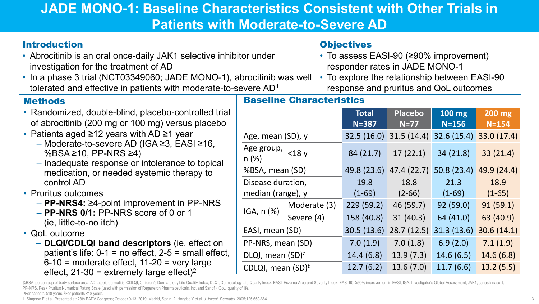# **JADE MONO-1: Baseline Characteristics Consistent with Other Trials in Patients with Moderate-to-Severe AD**

### Introduction

- Abrocitinib is an oral once-daily JAK1 selective inhibitor under investigation for the treatment of AD
- In a phase 3 trial (NCT03349060; JADE MONO‐1), abrocitinib was well To explore the relationship between EASI-90 tolerated and effective in patients with moderate-to-severe AD1

#### **Methods**

- Randomized, double-blind, placebo-controlled trial of abrocitinib (200 mg or 100 mg) versus placebo
- Patients aged ≥12 years with AD ≥1 year
	- Moderate-to-severe AD (IGA ≥3, EASI ≥16, %BSA ≥10, PP-NRS ≥4)
	- Inadequate response or intolerance to topical medication, or needed systemic therapy to control AD

• Pruritus outcomes

- **PP-NRS4:** ≥4-point improvement in PP-NRS
- **PP-NRS 0/1:** PP-NRS score of 0 or 1 (ie, little-to-no itch)
- QoL outcome
	- **DLQI/CDLQI band descriptors** (ie, effect on patient's life:  $0-1$  = no effect,  $2-5$  = small effect,  $6-10$  = moderate effect, 11-20 = very large effect,  $21-30$  = extremely large effect)<sup>2</sup>

### **Objectives**

Baseline Characteristics

- To assess EASI-90 (≥90% improvement) responder rates in JADE MONO-1
- response and pruritus and QoL outcomes

| Paseline Unaragueristics      |              |                           |                          |                   |                     |
|-------------------------------|--------------|---------------------------|--------------------------|-------------------|---------------------|
|                               |              | <b>Total</b><br>$N = 387$ | <b>Placebo</b><br>$N=77$ | 100 mg<br>$N=156$ | 200 mg<br>$N = 154$ |
| Age, mean (SD), y             |              | 32.5(16.0)                | 31.5(14.4)               | 32.6 (15.4)       | 33.0 (17.4)         |
| Age group, $<$ 18 y<br>n(%)   |              | 84 (21.7)                 | 17(22.1)                 | 34 (21.8)         | 33(21.4)            |
| %BSA, mean (SD)               |              | 49.8 (23.6)               | 47.4 (22.7)              | 50.8(23.4)        | 49.9 (24.4)         |
| Disease duration,             |              | 19.8                      | 18.8                     | 21.3              | 18.9                |
| median (range), y             |              | $(1-69)$                  | $(2 - 66)$               | $(1-69)$          | $(1-65)$            |
| $IGA, n (\%)$                 | Moderate (3) | 229(59.2)                 | 46 (59.7)                | 92 (59.0)         | 91(59.1)            |
|                               | Severe (4)   | 158 (40.8)                | 31(40.3)                 | 64 (41.0)         | 63 (40.9)           |
| EASI, mean (SD)               |              | 30.5 (13.6)               | 28.7(12.5)               | 31.3(13.6)        | 30.6(14.1)          |
| PP-NRS, mean (SD)             |              | 7.0(1.9)                  | 7.0(1.8)                 | 6.9(2.0)          | 7.1(1.9)            |
| DLQI, mean (SD) <sup>a</sup>  |              | 14.4(6.8)                 | 13.9(7.3)                | 14.6(6.5)         | 14.6(6.8)           |
| CDLQI, mean (SD) <sup>b</sup> |              | 12.7(6.2)                 | 13.6(7.0)                | 11.7(6.6)         | 13.2(5.5)           |

%BSA, percentage of body surface area; AD, atopic dermatitis; CDLQI, Children's Dermatology Life Quality Index; DLQI, Dermatology Life Quality Index; EASI, Eczema Area and Severity Index; EASI-90, ≥90% improvement in EASI PP-NRS, Peak Pruritus Numerical Rating Scale (used with permission of Regeneron Pharmaceuticals, Inc. and Sanofi); QoL, quality of life. <sup>a</sup>For patients ≥18 years. <sup>b</sup>For patients <18 years.

1. Simpson E et al. Presented at: 28th EADV Congress; October 9-13, 2019; Madrid, Spain. 2. Hongbo Y et al. *J. Invest. Dermatol.* 2005;125:659-664.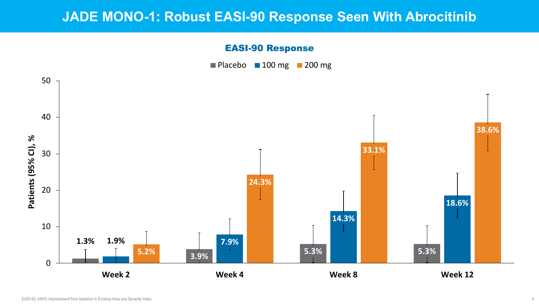## **JADE MONO-1: Robust EASI-90 Response Seen With Abrocitinib**

#### EASI-90 Response





4